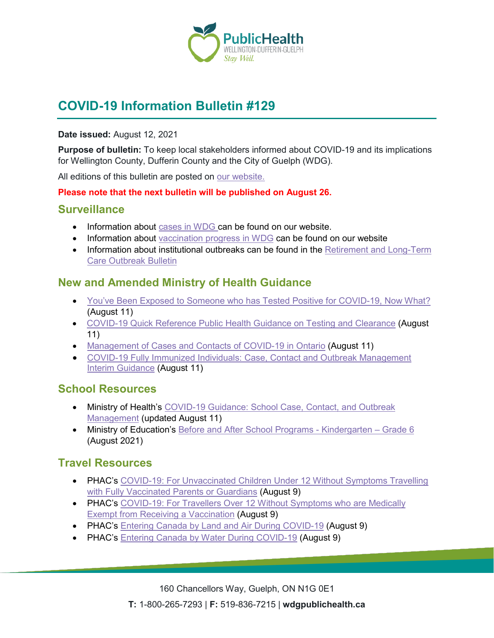

# **COVID-19 Information Bulletin #129**

#### **Date issued:** August 12, 2021

**Purpose of bulletin:** To keep local stakeholders informed about COVID-19 and its implications for Wellington County, Dufferin County and the City of Guelph (WDG).

All editions of this bulletin are posted on [our website.](https://www.wdgpublichealth.ca/your-health/covid-19-information-workplaces-and-living-spaces/community-stakeholder-bulletins)

#### **Please note that the next bulletin will be published on August 26.**

### **Surveillance**

- Information about [cases in WDG](https://wdgpublichealth.ca/your-health/covid-19-information-public/status-cases-wdg) can be found on our website.
- Information about [vaccination progress](https://www.wdgpublichealth.ca/your-health/covid-19-information-public/covid-19-vaccine-information-public) in WDG can be found on our website
- Information about institutional outbreaks can be found in the Retirement and Long-Term [Care Outbreak Bulletin](https://wdgpublichealth.ca/node/1542)

### **New and Amended Ministry of Health Guidance**

- [You've Been Exposed to Someone who has Tested Positive for COVID-19, Now What?](https://www.health.gov.on.ca/en/pro/programs/publichealth/coronavirus/docs/contact_mngmt/app_11_high_risk_contact_FlowChart.pdf) (August 11)
- [COVID-19 Quick Reference Public Health Guidance on Testing and Clearance](https://www.health.gov.on.ca/en/pro/programs/publichealth/coronavirus/docs/2019_testing_clearing_cases_guidance.pdf) (August 11)
- [Management of Cases and Contacts of COVID-19 in Ontario](https://can01.safelinks.protection.outlook.com/?url=https%3A%2F%2Fwww.health.gov.on.ca%2Fen%2Fpro%2Fprograms%2Fpublichealth%2Fcoronavirus%2Fdocs%2Fcontact_mngmt%2Fmanagement_cases_contacts.pdf&data=04%7C01%7C%7Ce92e206f006d4cfc49cb08d95d8e1b29%7C0928437e1ae24ba7afd16948fcb91c48%7C0%7C0%7C637643689478802076%7CUnknown%7CTWFpbGZsb3d8eyJWIjoiMC4wLjAwMDAiLCJQIjoiV2luMzIiLCJBTiI6Ik1haWwiLCJXVCI6Mn0%3D%7C1000&sdata=TVg5vGd%2FT661EKGt50OvmxC%2B7GT2vXKA3N91XuDXF34%3D&reserved=0) (August 11)
- [COVID-19 Fully Immunized Individuals: Case, Contact and Outbreak Management](https://can01.safelinks.protection.outlook.com/?url=https%3A%2F%2Fwww.health.gov.on.ca%2Fen%2Fpro%2Fprograms%2Fpublichealth%2Fcoronavirus%2Fdocs%2Fcontact_mngmt%2FCOVID-19_fully_vaccinated_interim_guidance.pdf&data=04%7C01%7C%7Ce92e206f006d4cfc49cb08d95d8e1b29%7C0928437e1ae24ba7afd16948fcb91c48%7C0%7C0%7C637643689478812072%7CUnknown%7CTWFpbGZsb3d8eyJWIjoiMC4wLjAwMDAiLCJQIjoiV2luMzIiLCJBTiI6Ik1haWwiLCJXVCI6Mn0%3D%7C1000&sdata=Zs%2BTd5ZACMrbqtEUc3acicdQUVwsQh1VKUo9D3TOGmE%3D&reserved=0)  [Interim Guidance](https://can01.safelinks.protection.outlook.com/?url=https%3A%2F%2Fwww.health.gov.on.ca%2Fen%2Fpro%2Fprograms%2Fpublichealth%2Fcoronavirus%2Fdocs%2Fcontact_mngmt%2FCOVID-19_fully_vaccinated_interim_guidance.pdf&data=04%7C01%7C%7Ce92e206f006d4cfc49cb08d95d8e1b29%7C0928437e1ae24ba7afd16948fcb91c48%7C0%7C0%7C637643689478812072%7CUnknown%7CTWFpbGZsb3d8eyJWIjoiMC4wLjAwMDAiLCJQIjoiV2luMzIiLCJBTiI6Ik1haWwiLCJXVCI6Mn0%3D%7C1000&sdata=Zs%2BTd5ZACMrbqtEUc3acicdQUVwsQh1VKUo9D3TOGmE%3D&reserved=0) (August 11)

# **School Resources**

- Ministry of Health's COVID-19 Guidance: School Case, Contact, and Outbreak [Management](https://www.health.gov.on.ca/en/pro/programs/publichealth/coronavirus/docs/COVID-19_school_outbreak_guidance.pdf) (updated August 11)
- Ministry of Education's [Before and After School Programs -](https://files.ontario.ca/edu-before-and-after-school-programs-guide-en-2021-08-10.pdf) Kindergarten Grade 6 (August 2021)

### **Travel Resources**

- PHAC's COVID-19: For Unvaccinated Children Under 12 Without Symptoms Travelling [with Fully Vaccinated Parents or Guardians](https://www.canada.ca/content/canadasite/en/public-health/services/diseases/2019-novel-coronavirus-infection/awareness-resources/unvaccinated-children-under-12-without-symptoms-travelling-fully-vaccinated-parents-guardians.html) (August 9)
- PHAC's COVID-19: For Travellers Over 12 Without Symptoms who are Medically [Exempt from Receiving a Vaccination](https://www.canada.ca/content/canadasite/en/public-health/services/diseases/2019-novel-coronavirus-infection/awareness-resources/travellers-over-12-without-symptoms-medically-exempt-vaccination.html) (August 9)
- PHAC's [Entering Canada by Land and Air During COVID-19](https://www.canada.ca/content/canadasite/en/public-health/services/diseases/2019-novel-coronavirus-infection/awareness-resources/entering-canada-covid-19.html) (August 9)
- PHAC's [Entering Canada by Water During COVID-19](https://www.canada.ca/content/canadasite/en/public-health/services/diseases/2019-novel-coronavirus-infection/awareness-resources/entering-canada-water.html) (August 9)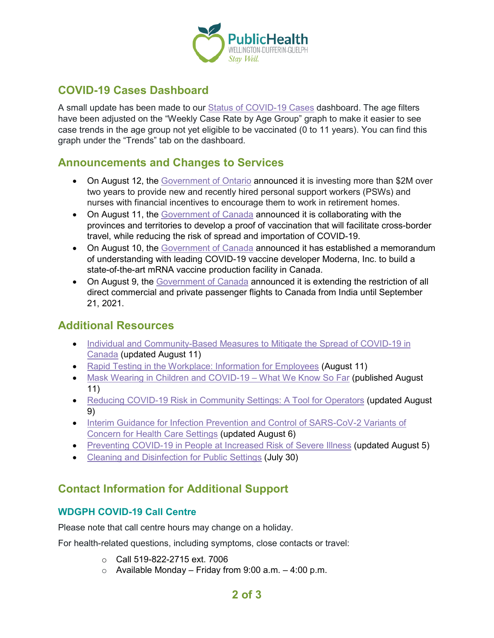

## **COVID-19 Cases Dashboard**

A small update has been made to our [Status of COVID-19 Cases](https://wdgpublichealth.ca/your-health/covid-19-information-public/status-cases-wdg) dashboard. The age filters have been adjusted on the "Weekly Case Rate by Age Group" graph to make it easier to see case trends in the age group not yet eligible to be vaccinated (0 to 11 years). You can find this graph under the "Trends" tab on the dashboard.

### **Announcements and Changes to Services**

- On August 12, the [Government of Ontario](https://news.ontario.ca/en/release/1000720/ontario-launches-new-program-to-recruit-and-retain-staff-in-retirement-homes) announced it is investing more than \$2M over two years to provide new and recently hired personal support workers (PSWs) and nurses with financial incentives to encourage them to work in retirement homes.
- On August 11, the [Government of Canada](https://www.canada.ca/en/immigration-refugees-citizenship/news/2021/08/canada-moving-forward-with-a-proof-of-vaccination-for-international-travel.html) announced it is collaborating with the provinces and territories to develop a proof of vaccination that will facilitate cross-border travel, while reducing the risk of spread and importation of COVID-19.
- On August 10, the [Government of Canada](https://www.canada.ca/en/innovation-science-economic-development/news/2021/08/government-of-canada-announces-agreement-with-leading-covid-19-vaccine-developer-moderna-inc-to-build-mrna-vaccine-facility-in-canada.html) announced it has established a memorandum of understanding with leading COVID-19 vaccine developer Moderna, Inc. to build a state-of-the-art mRNA vaccine production facility in Canada.
- On August 9, the [Government of Canada](https://www.canada.ca/en/transport-canada/news/2021/08/transport-canada-extending-restrictions-on-direct-flights-from-india-until-september-21-2021.html) announced it is extending the restriction of all direct commercial and private passenger flights to Canada from India until September 21, 2021.

### **Additional Resources**

- Individual and Community-Based Measures to Mitigate the Spread of COVID-19 in [Canada](https://www.canada.ca/en/public-health/services/diseases/2019-novel-coronavirus-infection/health-professionals/public-health-measures-mitigate-covid-19.html) (updated August 11)
- [Rapid Testing in the Workplace: Information for Employees](https://www.canada.ca/content/canadasite/en/public-health/services/publications/diseases-conditions/covid-19-rapid-testing-workplace-infographic-employees.html) (August 11)
- [Mask Wearing in Children and COVID-19 –](https://www.publichealthontario.ca/-/media/documents/ncov/covid-wwksf/2021/08/wwksf-wearing-masks-children.pdf?sc_lang=en) What We Know So Far (published August 11)
- [Reducing COVID-19 Risk in Community Settings: A Tool for Operators](https://health.canada.ca/en/public-health/services/diseases/2019-novel-coronavirus-infection/guidance-documents/reducing-covid-19-risk-community-settings-tool-operators.html) (updated August 9)
- Interim Guidance for Infection Prevention and Control of SARS-CoV-2 Variants of [Concern for Health Care Settings](https://www.publichealthontario.ca/-/media/documents/ncov/voc/2021/02/pidac-interim-guidance-sars-cov-2-variants.pdf?sc_lang=en) (updated August 6)
- [Preventing COVID-19 in People at Increased Risk of Severe Illness](https://www.publichealthontario.ca/-/media/documents/ncov/factsheet/2020/12/reduce-risk/factsheet-covid-19-reduce-your-risk.pdf?la=en&sc_lang=en&hash=E7770E0001A112A40BDA70DF548D985E) (updated August 5)
- [Cleaning and Disinfection for Public Settings](https://www.publichealthontario.ca/-/media/documents/ncov/factsheet-covid-19-environmental-cleaning.pdf?la=en&sc_lang=en&hash=BBEEA3391688456A52B920483D34F6DB) (July 30)

# **Contact Information for Additional Support**

#### **WDGPH COVID-19 Call Centre**

Please note that call centre hours may change on a holiday.

For health-related questions, including symptoms, close contacts or travel:

- o Call 519-822-2715 ext. 7006
- $\circ$  Available Monday Friday from 9:00 a.m. 4:00 p.m.

### **2 of 3**